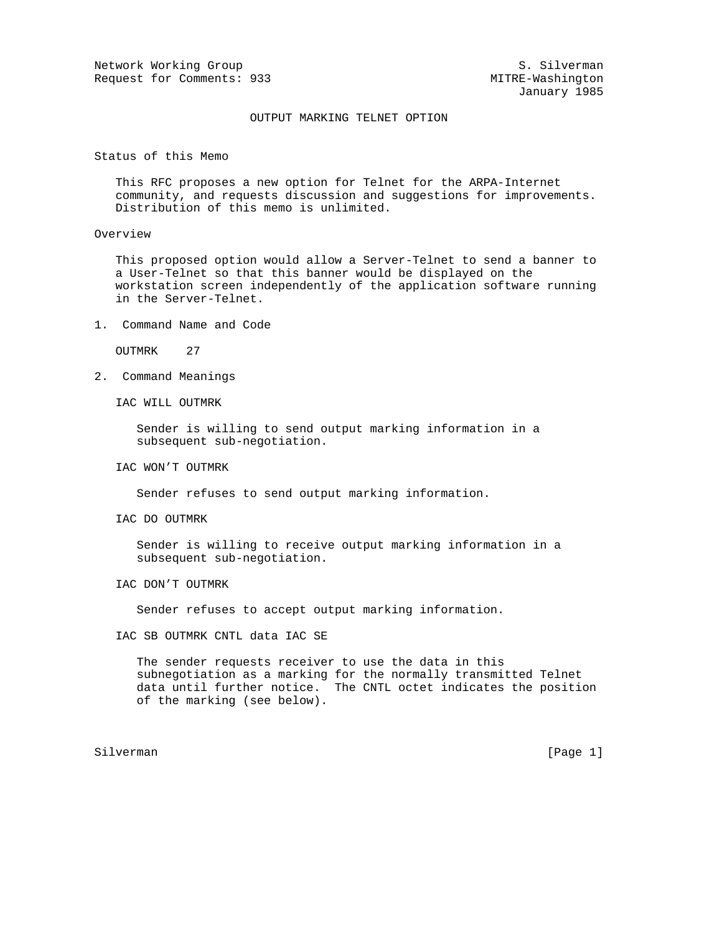Network Working Group S. Silverman S. Silverman Request for Comments: 933 MITRE-Washington

## OUTPUT MARKING TELNET OPTION

Status of this Memo

 This RFC proposes a new option for Telnet for the ARPA-Internet community, and requests discussion and suggestions for improvements. Distribution of this memo is unlimited.

## Overview

 This proposed option would allow a Server-Telnet to send a banner to a User-Telnet so that this banner would be displayed on the workstation screen independently of the application software running in the Server-Telnet.

1. Command Name and Code

OUTMRK 27

2. Command Meanings

IAC WILL OUTMRK

 Sender is willing to send output marking information in a subsequent sub-negotiation.

IAC WON'T OUTMRK

Sender refuses to send output marking information.

IAC DO OUTMRK

 Sender is willing to receive output marking information in a subsequent sub-negotiation.

IAC DON'T OUTMRK

Sender refuses to accept output marking information.

IAC SB OUTMRK CNTL data IAC SE

 The sender requests receiver to use the data in this subnegotiation as a marking for the normally transmitted Telnet data until further notice. The CNTL octet indicates the position of the marking (see below).

Silverman [Page 1] Silverman [Page 1] Silverman [Page 1] Silverman [Page 1] Silverman [Page 1] Silverman [Page 1] Silverman [Page 1] Silverman [Page 1] Silverman [Page 1] Silverman [Page 1] Silverman [Page 1] Silverman [Pa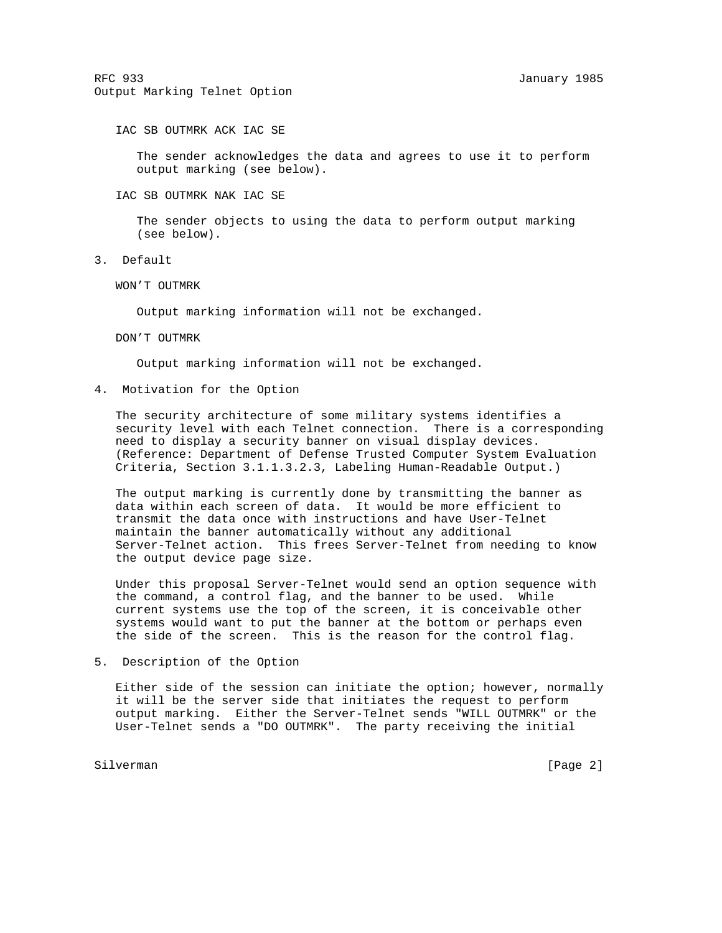IAC SB OUTMRK ACK IAC SE

 The sender acknowledges the data and agrees to use it to perform output marking (see below).

IAC SB OUTMRK NAK IAC SE

 The sender objects to using the data to perform output marking (see below).

3. Default

WON'T OUTMRK

Output marking information will not be exchanged.

DON'T OUTMRK

Output marking information will not be exchanged.

4. Motivation for the Option

 The security architecture of some military systems identifies a security level with each Telnet connection. There is a corresponding need to display a security banner on visual display devices. (Reference: Department of Defense Trusted Computer System Evaluation Criteria, Section 3.1.1.3.2.3, Labeling Human-Readable Output.)

 The output marking is currently done by transmitting the banner as data within each screen of data. It would be more efficient to transmit the data once with instructions and have User-Telnet maintain the banner automatically without any additional Server-Telnet action. This frees Server-Telnet from needing to know the output device page size.

 Under this proposal Server-Telnet would send an option sequence with the command, a control flag, and the banner to be used. While current systems use the top of the screen, it is conceivable other systems would want to put the banner at the bottom or perhaps even the side of the screen. This is the reason for the control flag.

5. Description of the Option

 Either side of the session can initiate the option; however, normally it will be the server side that initiates the request to perform output marking. Either the Server-Telnet sends "WILL OUTMRK" or the User-Telnet sends a "DO OUTMRK". The party receiving the initial

Silverman [Page 2]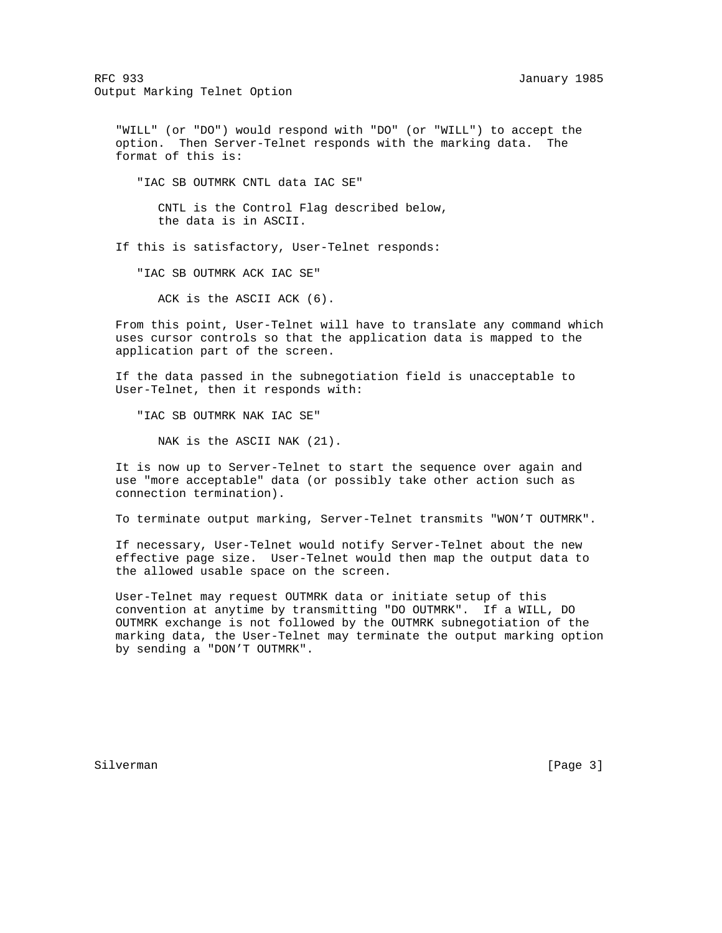RFC 933 January 1985 Output Marking Telnet Option

 "WILL" (or "DO") would respond with "DO" (or "WILL") to accept the option. Then Server-Telnet responds with the marking data. The format of this is:

"IAC SB OUTMRK CNTL data IAC SE"

 CNTL is the Control Flag described below, the data is in ASCII.

If this is satisfactory, User-Telnet responds:

"IAC SB OUTMRK ACK IAC SE"

ACK is the ASCII ACK (6).

 From this point, User-Telnet will have to translate any command which uses cursor controls so that the application data is mapped to the application part of the screen.

 If the data passed in the subnegotiation field is unacceptable to User-Telnet, then it responds with:

"IAC SB OUTMRK NAK IAC SE"

NAK is the ASCII NAK (21).

 It is now up to Server-Telnet to start the sequence over again and use "more acceptable" data (or possibly take other action such as connection termination).

To terminate output marking, Server-Telnet transmits "WON'T OUTMRK".

 If necessary, User-Telnet would notify Server-Telnet about the new effective page size. User-Telnet would then map the output data to the allowed usable space on the screen.

 User-Telnet may request OUTMRK data or initiate setup of this convention at anytime by transmitting "DO OUTMRK". If a WILL, DO OUTMRK exchange is not followed by the OUTMRK subnegotiation of the marking data, the User-Telnet may terminate the output marking option by sending a "DON'T OUTMRK".

Silverman [Page 3]